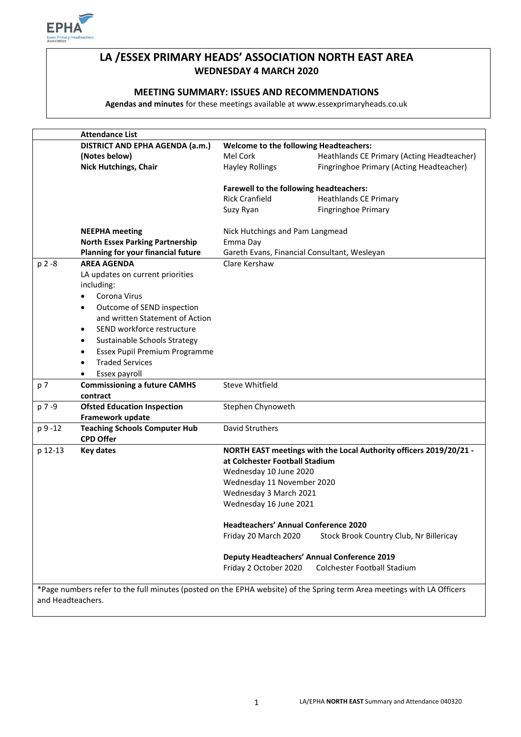

# **LA /ESSEX PRIMARY HEADS' ASSOCIATION NORTH EAST AREA WEDNESDAY 4 MARCH 2020**

## **MEETING SUMMARY: ISSUES AND RECOMMENDATIONS**

**Agendas and minutes** for these meetings available at www.essexprimaryheads.co.uk

|                   | <b>Attendance List</b>                     |                                                    |                                                                                                                        |
|-------------------|--------------------------------------------|----------------------------------------------------|------------------------------------------------------------------------------------------------------------------------|
|                   | DISTRICT AND EPHA AGENDA (a.m.)            | Welcome to the following Headteachers:             |                                                                                                                        |
|                   | (Notes below)                              | Mel Cork                                           | Heathlands CE Primary (Acting Headteacher)                                                                             |
|                   | <b>Nick Hutchings, Chair</b>               | <b>Hayley Rollings</b>                             | Fingringhoe Primary (Acting Headteacher)                                                                               |
|                   |                                            |                                                    |                                                                                                                        |
|                   |                                            | Farewell to the following headteachers:            |                                                                                                                        |
|                   |                                            | <b>Rick Cranfield</b>                              | <b>Heathlands CE Primary</b>                                                                                           |
|                   |                                            | Suzy Ryan                                          | <b>Fingringhoe Primary</b>                                                                                             |
|                   |                                            |                                                    |                                                                                                                        |
|                   | <b>NEEPHA</b> meeting                      | Nick Hutchings and Pam Langmead                    |                                                                                                                        |
|                   | <b>North Essex Parking Partnership</b>     | Emma Day                                           |                                                                                                                        |
|                   | Planning for your financial future         | Gareth Evans, Financial Consultant, Wesleyan       |                                                                                                                        |
| p 2 -8            | <b>AREA AGENDA</b>                         | Clare Kershaw                                      |                                                                                                                        |
|                   | LA updates on current priorities           |                                                    |                                                                                                                        |
|                   | including:                                 |                                                    |                                                                                                                        |
|                   | Corona Virus<br>٠                          |                                                    |                                                                                                                        |
|                   | Outcome of SEND inspection<br>٠            |                                                    |                                                                                                                        |
|                   | and written Statement of Action            |                                                    |                                                                                                                        |
|                   | SEND workforce restructure<br>$\bullet$    |                                                    |                                                                                                                        |
|                   | Sustainable Schools Strategy<br>٠          |                                                    |                                                                                                                        |
|                   | Essex Pupil Premium Programme<br>$\bullet$ |                                                    |                                                                                                                        |
|                   | <b>Traded Services</b><br>$\bullet$        |                                                    |                                                                                                                        |
|                   | Essex payroll                              |                                                    |                                                                                                                        |
| p 7               | <b>Commissioning a future CAMHS</b>        | Steve Whitfield                                    |                                                                                                                        |
|                   | contract                                   |                                                    |                                                                                                                        |
| p 7 -9            | <b>Ofsted Education Inspection</b>         | Stephen Chynoweth                                  |                                                                                                                        |
|                   | Framework update                           |                                                    |                                                                                                                        |
| p 9 -12           | <b>Teaching Schools Computer Hub</b>       | David Struthers                                    |                                                                                                                        |
|                   | <b>CPD Offer</b>                           |                                                    |                                                                                                                        |
| p 12-13           | <b>Key dates</b>                           |                                                    | NORTH EAST meetings with the Local Authority officers 2019/20/21 -                                                     |
|                   |                                            | at Colchester Football Stadium                     |                                                                                                                        |
|                   |                                            | Wednesday 10 June 2020                             |                                                                                                                        |
|                   |                                            | Wednesday 11 November 2020                         |                                                                                                                        |
|                   |                                            | Wednesday 3 March 2021                             |                                                                                                                        |
|                   |                                            | Wednesday 16 June 2021                             |                                                                                                                        |
|                   |                                            |                                                    |                                                                                                                        |
|                   |                                            | <b>Headteachers' Annual Conference 2020</b>        |                                                                                                                        |
|                   |                                            | Friday 20 March 2020                               | Stock Brook Country Club, Nr Billericay                                                                                |
|                   |                                            |                                                    |                                                                                                                        |
|                   |                                            | <b>Deputy Headteachers' Annual Conference 2019</b> |                                                                                                                        |
|                   |                                            | Friday 2 October 2020                              | <b>Colchester Football Stadium</b>                                                                                     |
|                   |                                            |                                                    |                                                                                                                        |
|                   |                                            |                                                    | *Page numbers refer to the full minutes (posted on the EPHA website) of the Spring term Area meetings with LA Officers |
| and Headteachers. |                                            |                                                    |                                                                                                                        |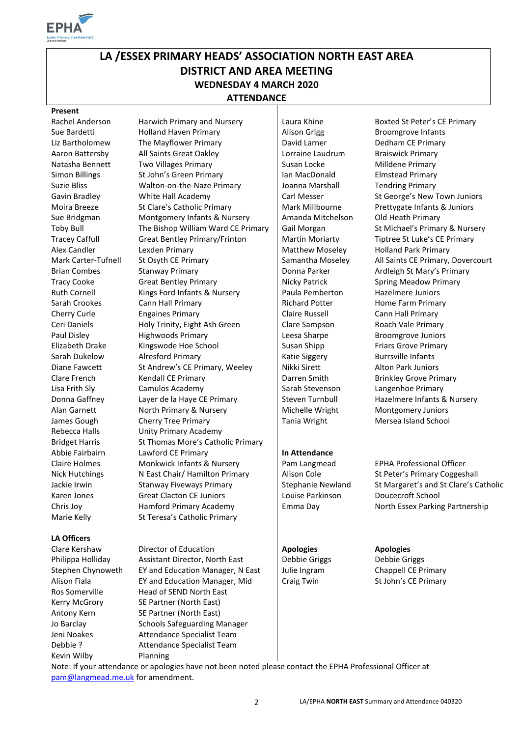

# **LA /ESSEX PRIMARY HEADS' ASSOCIATION NORTH EAST AREA DISTRICT AND AREA MEETING WEDNESDAY 4 MARCH 2020 ATTENDANCE**

### **Present**

### **LA Officers**

Kevin Wilby Planning

Rachel Anderson Harwich Primary and Nursery | Laura Khine Boxted St Peter's CE Primary Sue Bardetti **Holland Haven Primary** Alison Grigg Broomgrove Infants Liz Bartholomew The Mayflower Primary David Larner Network Dedham CE Primary Aaron Battersby All Saints Great Oakley Lorraine Laudrum Braiswick Primary Natasha Bennett Two Villages Primary Susan Locke Milldene Primary Natasha Bennett Simon Billings St John's Green Primary **Ian MacDonald** Elmstead Primary Suzie Bliss **Walton-on-the-Naze Primary** Joanna Marshall **Joanna Tendring Primary** Gavin Bradley **White Hall Academy** Carl Messer St George's New Town Juniors Moira Breeze St Clare's Catholic Primary Mark Millbourne Prettygate Infants & Juniors Sue Bridgman Montgomery Infants & Nursery | Amanda Mitchelson Old Heath Primary Toby Bull The Bishop William Ward CE Primary Gail Morgan St Michael's Primary & Nursery Tracey Caffull Great Bentley Primary/Frinton | Martin Moriarty Tiptree St Luke's CE Primary Alex Candler **Lexden Primary Community Community** Matthew Moseley Holland Park Primary Mark Carter-Tufnell St Osyth CE Primary Samantha Moseley All Saints CE Primary, Dovercourt Brian Combes Stanway Primary Stanway Primary Britan Combes Stanway Primary Stanway Primary Stanway Britannia L Tracy Cooke Great Bentley Primary Nicky Patrick Spring Meadow Primary Ruth Cornell Kings Ford Infants & Nursery | Paula Pemberton Hazelmere Juniors Sarah Crookes Cann Hall Primary Cann Hall Primary Richard Potter Home Farm Primary Cherry Curle Engaines Primary Claire Russell Cherry Curle Cann Hall Primary Ceri Daniels **Holy Trinity, Eight Ash Green** | Clare Sampson Roach Vale Primary Paul Disley **Highwoods Primary** Leesa Sharpe Broomgrove Juniors Elizabeth Drake Kingswode Hoe School Susan Shipp Friars Grove Primary Sarah Dukelow Alresford Primary National Katie Siggery Burrsville Infants Diane Fawcett St Andrew's CE Primary, Weeley Nikki Sirett Alton Park Juniors Clare French Kendall CE Primary **Darren Smith Brinkley Grove Primary** Darren Smith Lisa Frith Sly Camulos Academy Sarah Stevenson Langenhoe Primary Donna Gaffney Layer de la Haye CE Primary Furld Steven Turnbull Hazelmere Infants & Nursery Alan Garnett **North Primary & Nursery Michelle Wright** Montgomery Juniors James Gough Cherry Tree Primary Tania Wright Mersea Island School Rebecca Halls Unity Primary Academy Bridget Harris St Thomas More's Catholic Primary Abbie Fairbairn Lawford CE Primary **In Attendance**  Claire Holmes Monkwick Infants & Nursery Pam Langmead EPHA Professional Officer Nick Hutchings Nicast Chair/ Hamilton Primary Alison Cole St Peter's Primary Coggeshall Jackie Irwin Stanway Fiveways Primary Stephanie Newland St Margaret's and St Clare's Catholic Karen Jones Great Clacton CE Juniors Louise Parkinson Doucecroft School Chris Joy Hamford Primary Academy Emma Day North Essex Parking Partnership Marie Kelly St Teresa's Catholic Primary

Clare Kershaw Director of Education **Apologies Apologies** Philippa Holliday Assistant Director, North East | Debbie Griggs Debbie Griggs Stephen Chynoweth EY and Education Manager, N East | Julie Ingram Chappell CE Primary Alison Fiala **EXECT EXECTS** EX and Education Manager, Mid Craig Twin St John's CE Primary Ros Somerville Head of SEND North East Kerry McGrory SE Partner (North East) Antony Kern SE Partner (North East) Jo Barclay Schools Safeguarding Manager Jeni Noakes **Attendance Specialist Team** Debbie ? Attendance Specialist Team

Note: If your attendance or apologies have not been noted please contact the EPHA Professional Officer at [pam@langmead.me.uk](mailto:pam@langmead.me.uk) for amendment.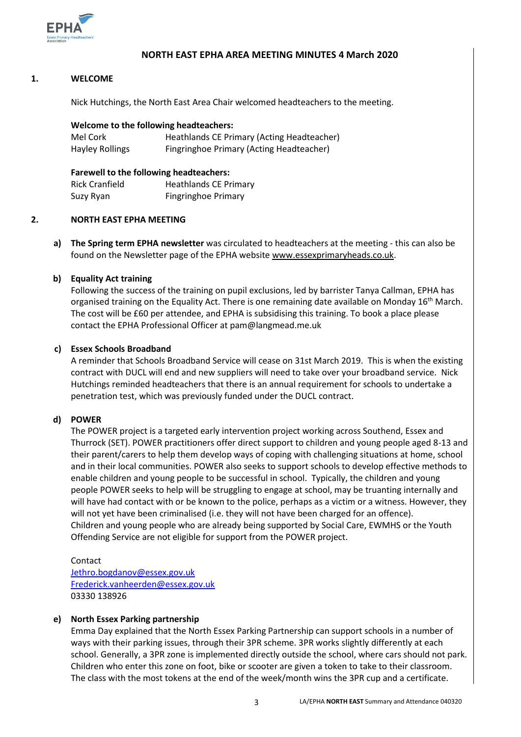

## **NORTH EAST EPHA AREA MEETING MINUTES 4 March 2020**

### **1. WELCOME**

Nick Hutchings, the North East Area Chair welcomed headteachers to the meeting.

### **Welcome to the following headteachers:**

| Mel Cork               | Heathlands CE Primary (Acting Headteacher) |
|------------------------|--------------------------------------------|
| <b>Hayley Rollings</b> | Fingringhoe Primary (Acting Headteacher)   |

## **Farewell to the following headteachers:** Rick Cranfield Heathlands CE Primary Suzy Ryan Fingringhoe Primary

### **2. NORTH EAST EPHA MEETING**

**a) The Spring term EPHA newsletter** was circulated to headteachers at the meeting - this can also be found on the Newsletter page of the EPHA website [www.essexprimaryheads.co.uk.](http://www.essexprimaryheads.co.uk/)

## **b) Equality Act training**

Following the success of the training on pupil exclusions, led by barrister Tanya Callman, EPHA has organised training on the Equality Act. There is one remaining date available on Monday 16<sup>th</sup> March. The cost will be £60 per attendee, and EPHA is subsidising this training. To book a place please contact the EPHA Professional Officer at pam@langmead.me.uk

## **c) Essex Schools Broadband**

A reminder that Schools Broadband Service will cease on 31st March 2019. This is when the existing contract with DUCL will end and new suppliers will need to take over your broadband service. Nick Hutchings reminded headteachers that there is an annual requirement for schools to undertake a penetration test, which was previously funded under the DUCL contract.

## **d) POWER**

The POWER project is a targeted early intervention project working across Southend, Essex and Thurrock (SET). POWER practitioners offer direct support to children and young people aged 8-13 and their parent/carers to help them develop ways of coping with challenging situations at home, school and in their local communities. POWER also seeks to support schools to develop effective methods to enable children and young people to be successful in school. Typically, the children and young people POWER seeks to help will be struggling to engage at school, may be truanting internally and will have had contact with or be known to the police, perhaps as a victim or a witness. However, they will not yet have been criminalised (i.e. they will not have been charged for an offence). Children and young people who are already being supported by Social Care, EWMHS or the Youth Offending Service are not eligible for support from the POWER project.

Contact [Jethro.bogdanov@essex.gov.uk](mailto:Jethro.bogdanov@essex.gov.uk) [Frederick.vanheerden@essex.gov.uk](mailto:Frederick.vanheerden@essex.gov.uk) 03330 138926

### **e) North Essex Parking partnership**

Emma Day explained that the North Essex Parking Partnership can support schools in a number of ways with their parking issues, through their 3PR scheme. 3PR works slightly differently at each school. Generally, a 3PR zone is implemented directly outside the school, where cars should not park. Children who enter this zone on foot, bike or scooter are given a token to take to their classroom. The class with the most tokens at the end of the week/month wins the 3PR cup and a certificate.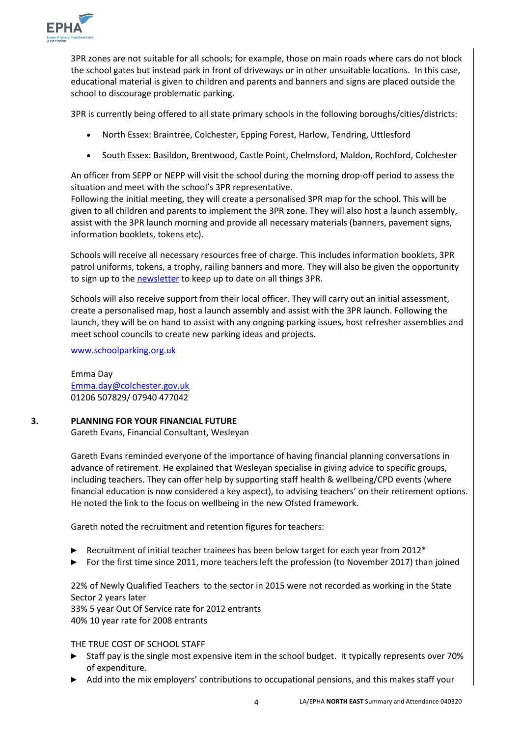

3PR zones are not suitable for all schools; for example, those on main roads where cars do not block the school gates but instead park in front of driveways or in other unsuitable locations. In this case, educational material is given to children and parents and banners and signs are placed outside the school to discourage problematic parking.

3PR is currently being offered to all state primary schools in the following boroughs/cities/districts:

- North Essex: Braintree, Colchester, Epping Forest, Harlow, Tendring, Uttlesford
- South Essex: Basildon, Brentwood, Castle Point, Chelmsford, Maldon, Rochford, Colchester

An officer from SEPP or NEPP will visit the school during the morning drop-off period to assess the situation and meet with the school's 3PR representative.

Following the initial meeting, they will create a personalised 3PR map for the school. This will be given to all children and parents to implement the 3PR zone. They will also host a launch assembly, assist with the 3PR launch morning and provide all necessary materials (banners, pavement signs, information booklets, tokens etc).

Schools will receive all necessary resources free of charge. This includes information booklets, 3PR patrol uniforms, tokens, a trophy, railing banners and more. They will also be given the opportunity to sign up to th[e newsletter](https://schoolparking.org.uk/newsletter-sign-up/) to keep up to date on all things 3PR.

Schools will also receive support from their local officer. They will carry out an initial assessment, create a personalised map, host a launch assembly and assist with the 3PR launch. Following the launch, they will be on hand to assist with any ongoing parking issues, host refresher assemblies and meet school councils to create new parking ideas and projects.

[www.schoolparking.org.uk](http://www.schoolparking.org.uk/) 

Emma Day [Emma.day@colchester.gov.uk](mailto:Emma.day@colchester.gov.uk) 01206 507829/ 07940 477042

### **3. PLANNING FOR YOUR FINANCIAL FUTURE**

Gareth Evans, Financial Consultant, Wesleyan

Gareth Evans reminded everyone of the importance of having financial planning conversations in advance of retirement. He explained that Wesleyan specialise in giving advice to specific groups, including teachers. They can offer help by supporting staff health & wellbeing/CPD events (where financial education is now considered a key aspect), to advising teachers' on their retirement options. He noted the link to the focus on wellbeing in the new Ofsted framework.

Gareth noted the recruitment and retention figures for teachers:

- ► Recruitment of initial teacher trainees has been below target for each year from 2012<sup>\*</sup>
- ► For the first time since 2011, more teachers left the profession (to November 2017) than joined

22% of Newly Qualified Teachers to the sector in 2015 were not recorded as working in the State Sector 2 years later

33% 5 year Out Of Service rate for 2012 entrants 40% 10 year rate for 2008 entrants

THE TRUE COST OF SCHOOL STAFF

- ► Staff pay is the single most expensive item in the school budget. It typically represents over 70% of expenditure.
- ► Add into the mix employers' contributions to occupational pensions, and this makes staff your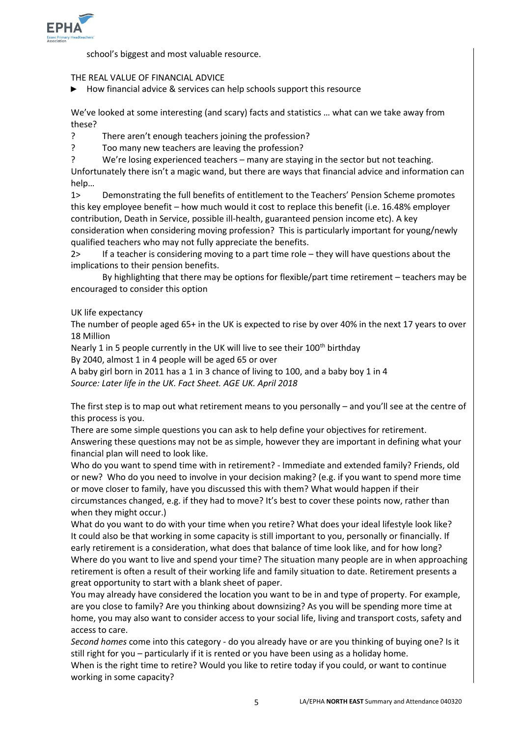

school's biggest and most valuable resource.

## THE REAL VALUE OF FINANCIAL ADVICE

► How financial advice & services can help schools support this resource

We've looked at some interesting (and scary) facts and statistics … what can we take away from these?

? There aren't enough teachers joining the profession?

? Too many new teachers are leaving the profession?

? We're losing experienced teachers – many are staying in the sector but not teaching.

Unfortunately there isn't a magic wand, but there are ways that financial advice and information can help…

1> Demonstrating the full benefits of entitlement to the Teachers' Pension Scheme promotes this key employee benefit – how much would it cost to replace this benefit (i.e. 16.48% employer contribution, Death in Service, possible ill-health, guaranteed pension income etc). A key consideration when considering moving profession? This is particularly important for young/newly qualified teachers who may not fully appreciate the benefits.

2> If a teacher is considering moving to a part time role – they will have questions about the implications to their pension benefits.

By highlighting that there may be options for flexible/part time retirement – teachers may be encouraged to consider this option

### UK life expectancy

The number of people aged 65+ in the UK is expected to rise by over 40% in the next 17 years to over 18 Million

Nearly 1 in 5 people currently in the UK will live to see their  $100<sup>th</sup>$  birthday

By 2040, almost 1 in 4 people will be aged 65 or over

A baby girl born in 2011 has a 1 in 3 chance of living to 100, and a baby boy 1 in 4 *Source: Later life in the UK. Fact Sheet. AGE UK. April 2018*

The first step is to map out what retirement means to you personally – and you'll see at the centre of this process is you.

There are some simple questions you can ask to help define your objectives for retirement. Answering these questions may not be as simple, however they are important in defining what your financial plan will need to look like.

Who do you want to spend time with in retirement? - Immediate and extended family? Friends, old or new? Who do you need to involve in your decision making? (e.g. if you want to spend more time or move closer to family, have you discussed this with them? What would happen if their circumstances changed, e.g. if they had to move? It's best to cover these points now, rather than when they might occur.)

What do you want to do with your time when you retire? What does your ideal lifestyle look like? It could also be that working in some capacity is still important to you, personally or financially. If early retirement is a consideration, what does that balance of time look like, and for how long? Where do you want to live and spend your time? The situation many people are in when approaching retirement is often a result of their working life and family situation to date. Retirement presents a great opportunity to start with a blank sheet of paper.

You may already have considered the location you want to be in and type of property. For example, are you close to family? Are you thinking about downsizing? As you will be spending more time at home, you may also want to consider access to your social life, living and transport costs, safety and access to care.

*Second homes* come into this category - do you already have or are you thinking of buying one? Is it still right for you – particularly if it is rented or you have been using as a holiday home.

When is the right time to retire? Would you like to retire today if you could, or want to continue working in some capacity?